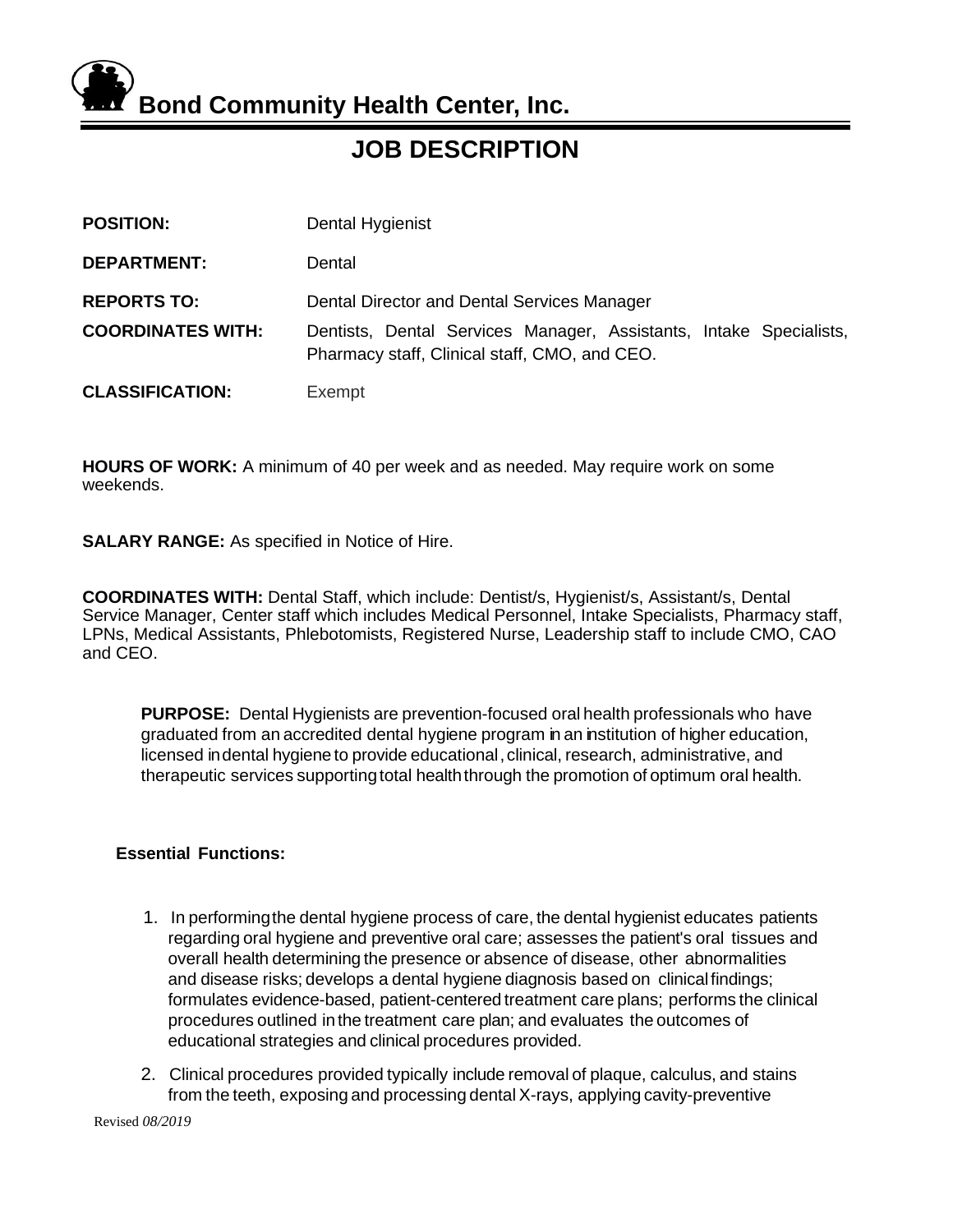**Bond Community Health Center, Inc.**

**JOB DESCRIPTION**

| <b>POSITION:</b>                               | Dental Hygienist                                                                                                  |  |
|------------------------------------------------|-------------------------------------------------------------------------------------------------------------------|--|
| <b>DEPARTMENT:</b>                             | Dental                                                                                                            |  |
| <b>REPORTS TO:</b><br><b>COORDINATES WITH:</b> | Dental Director and Dental Services Manager<br>Dentists, Dental Services Manager, Assistants, Intake Specialists, |  |
|                                                | Pharmacy staff, Clinical staff, CMO, and CEO.                                                                     |  |
| <b>CLASSIFICATION:</b>                         | Exempt                                                                                                            |  |

**HOURS OF WORK:** A minimum of 40 per week and as needed. May require work on some weekends.

**SALARY RANGE:** As specified in Notice of Hire.

**COORDINATES WITH:** Dental Staff, which include: Dentist/s, Hygienist/s, Assistant/s, Dental Service Manager, Center staff which includes Medical Personnel, Intake Specialists, Pharmacy staff, LPNs, Medical Assistants, Phlebotomists, Registered Nurse, Leadership staff to include CMO, CAO and CEO.

**PURPOSE:** Dental Hygienists are prevention-focused oral health professionals who have graduated from an accredited dental hygiene program in an institution of higher education, licensed indental hygiene to provide educational,clinical, research, administrative, and therapeutic services supporting total health through the promotion of optimum oral health.

# **Essential Functions:**

- 1. In performingthe dental hygiene process of care, the dental hygienist educates patients regarding oral hygiene and preventive oral care; assesses the patient's oral tissues and overall health determining the presence or absence of disease, other abnormalities and disease risks; develops a dental hygiene diagnosis based on clinicalfindings; formulates evidence-based, patient-centered treatment care plans; performs the clinical procedures outlined inthe treatment care plan; and evaluates the outcomes of educational strategies and clinical procedures provided.
- 2. Clinical procedures provided typically include removal of plaque, calculus, and stains from the teeth, exposing and processing dental X-rays, applying cavity-preventive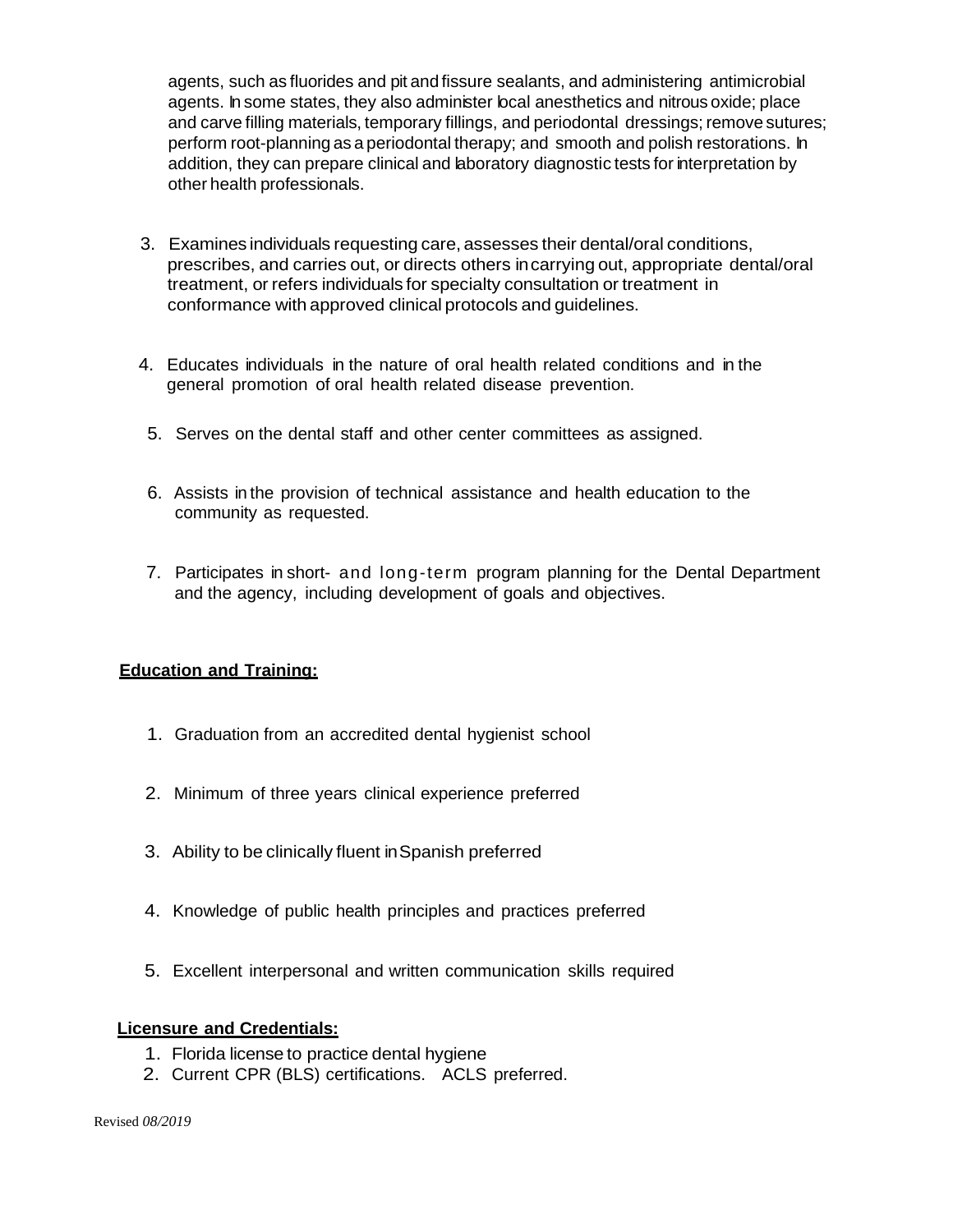agents, such as fluorides and pit and fissure sealants, and administering antimicrobial agents. In some states, they also administer local anesthetics and nitrous oxide; place and carve filling materials, temporary fillings, and periodontal dressings; remove sutures; perform root-planning as a periodontal therapy; and smooth and polish restorations. In addition, they can prepare clinical and laboratory diagnostic tests for interpretation by other health professionals.

- 3. Examines individuals requesting care, assesses their dental/oral conditions, prescribes, and carries out, or directs others incarrying out, appropriate dental/oral treatment, or refers individuals for specialty consultation or treatment in conformance with approved clinical protocols and guidelines.
- 4. Educates individuals in the nature of oral health related conditions and in the general promotion of oral health related disease prevention.
- 5. Serves on the dental staff and other center committees as assigned.
- 6. Assists in the provision of technical assistance and health education to the community as requested.
- 7. Participates in short- and long-term program planning for the Dental Department and the agency, including development of goals and objectives.

# **Education and Training:**

- 1. Graduation from an accredited dental hygienist school
- 2. Minimum of three years clinical experience preferred
- 3. Ability to be clinically fluent inSpanish preferred
- 4. Knowledge of public health principles and practices preferred
- 5. Excellent interpersonal and written communication skills required

# **Licensure and Credentials:**

- 1. Florida license to practice dental hygiene
- 2. Current CPR (BLS) certifications. ACLS preferred.